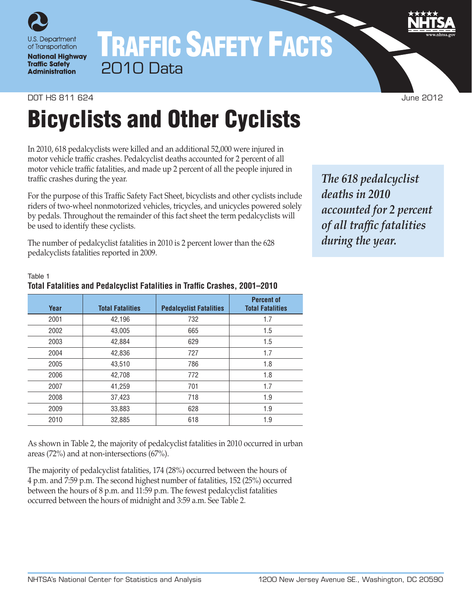

## TRAFFIC SAFETY FACTS 2010 Data

#### DOT HS 811 624 June 2012

# Bicyclists and Other Cyclists

In 2010, 618 pedalcyclists were killed and an additional 52,000 were injured in motor vehicle traffic crashes. Pedalcyclist deaths accounted for 2 percent of all motor vehicle traffic fatalities, and made up 2 percent of all the people injured in traffic crashes during the year.

For the purpose of this Traffic Safety Fact Sheet, bicyclists and other cyclists include riders of two-wheel nonmotorized vehicles, tricycles, and unicycles powered solely by pedals. Throughout the remainder of this fact sheet the term pedalcyclists will be used to identify these cyclists.

The number of pedalcyclist fatalities in 2010 is 2 percent lower than the 628 pedalcyclists fatalities reported in 2009.

*The 618 pedalcyclist deaths in 2010 accounted for 2 percent of all traffic fatalities during the year.*

| Year | <b>Total Fatalities</b> | <b>Pedalcyclist Fatalities</b> | <b>Percent of</b><br><b>Total Fatalities</b> |
|------|-------------------------|--------------------------------|----------------------------------------------|
| 2001 | 42,196                  | 732                            | 1.7                                          |
| 2002 | 43,005                  | 665                            | 1.5                                          |
| 2003 | 42,884                  | 629                            | 1.5                                          |
| 2004 | 42,836                  | 727                            | 1.7                                          |
| 2005 | 43,510                  | 786                            | 1.8                                          |
| 2006 | 42,708                  | 772                            | 1.8                                          |
| 2007 | 41,259                  | 701                            | 1.7                                          |
| 2008 | 37,423                  | 718                            | 1.9                                          |
| 2009 | 33,883                  | 628                            | 1.9                                          |
| 2010 | 32,885                  | 618                            | 1.9                                          |

#### Table 1 **Total Fatalities and Pedalcyclist Fatalities in Traffic Crashes, 2001–2010**

As shown in Table 2, the majority of pedalcyclist fatalities in 2010 occurred in urban areas (72%) and at non-intersections (67%).

The majority of pedalcyclist fatalities, 174 (28%) occurred between the hours of 4 p.m. and 7:59 p.m. The second highest number of fatalities, 152 (25%) occurred between the hours of 8 p.m. and 11:59 p.m. The fewest pedalcyclist fatalities occurred between the hours of midnight and 3:59 a.m. See Table 2.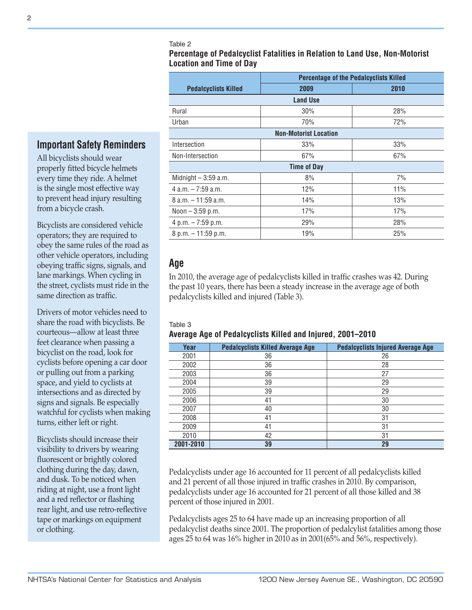Table 2

**Percentage of Pedalcyclist Fatalities in Relation to Land Use, Non-Motorist Location and Time of Day**

|                             | <b>Percentage of the Pedalcyclists Killed</b> |      |  |  |  |
|-----------------------------|-----------------------------------------------|------|--|--|--|
| <b>Pedalcyclists Killed</b> | 2009                                          | 2010 |  |  |  |
|                             | <b>Land Use</b>                               |      |  |  |  |
| Rural                       | 30%                                           | 28%  |  |  |  |
| Urban                       | 70%                                           | 72%  |  |  |  |
|                             | <b>Non-Motorist Location</b>                  |      |  |  |  |
| Intersection                | 33%                                           | 33%  |  |  |  |
| Non-Intersection            | 67%<br>67%                                    |      |  |  |  |
|                             | <b>Time of Day</b>                            |      |  |  |  |
| Midnight $-3:59$ a.m.       | 8%                                            | 7%   |  |  |  |
| $4$ a.m. $-7:59$ a.m.       | 12%                                           | 11%  |  |  |  |
| $8$ a.m. $-11:59$ a.m.      | 14%                                           | 13%  |  |  |  |
| Noon $-3:59$ p.m.           | 17%                                           | 17%  |  |  |  |
| 4 p.m. $-7:59$ p.m.         | 29%                                           | 28%  |  |  |  |
| 8 p.m. - 11:59 p.m.         | 19%                                           | 25%  |  |  |  |

## **Age**

In 2010, the average age of pedalcyclists killed in traffic crashes was 42. During the past 10 years, there has been a steady increase in the average age of both pedalcyclists killed and injured (Table 3).

#### Table 3

**Average Age of Pedalcyclists Killed and Injured, 2001–2010**

| Year      | <b>Pedalcyclists Killed Average Age</b> | <b>Pedalcyclists Injured Average Age</b> |
|-----------|-----------------------------------------|------------------------------------------|
| 2001      | 36                                      | 26                                       |
| 2002      | 36                                      | 28                                       |
| 2003      | 36                                      | 27                                       |
| 2004      | 39                                      | 29                                       |
| 2005      | 39                                      | 29                                       |
| 2006      | 41                                      | 30                                       |
| 2007      | 40                                      | 30                                       |
| 2008      | 41                                      | 31                                       |
| 2009      | 41                                      | 31                                       |
| 2010      | 42                                      | 31                                       |
| 2001-2010 | 39                                      | 29                                       |

Pedalcyclists under age 16 accounted for 11 percent of all pedalcyclists killed and 21 percent of all those injured in traffic crashes in 2010. By comparison, pedalcyclists under age 16 accounted for 21 percent of all those killed and 38 percent of those injured in 2001.

Pedalcyclists ages 25 to 64 have made up an increasing proportion of all pedalcyclist deaths since 2001. The proportion of pedalcylist fatalities among those ages 25 to 64 was 16% higher in 2010 as in 2001(65% and 56%, respectively).

## **Important Safety Reminders**

All bicyclists should wear properly fitted bicycle helmets every time they ride. A helmet is the single most effective way to prevent head injury resulting from a bicycle crash.

Bicyclists are considered vehicle operators; they are required to obey the same rules of the road as other vehicle operators, including obeying traffic signs, signals, and lane markings. When cycling in the street, cyclists must ride in the same direction as traffic.

Drivers of motor vehicles need to share the road with bicyclists. Be courteous—allow at least three feet clearance when passing a bicyclist on the road, look for cyclists before opening a car door or pulling out from a parking space, and yield to cyclists at intersections and as directed by signs and signals. Be especially watchful for cyclists when making turns, either left or right.

Bicyclists should increase their visibility to drivers by wearing fluorescent or brightly colored clothing during the day, dawn, and dusk. To be noticed when riding at night, use a front light and a red reflector or flashing rear light, and use retro-reflective tape or markings on equipment or clothing.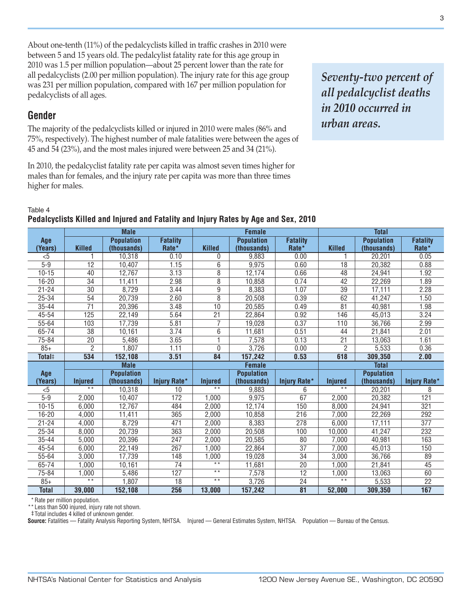About one-tenth (11%) of the pedalcyclists killed in traffic crashes in 2010 were between 5 and 15 years old. The pedalcylist fatality rate for this age group in 2010 was 1.5 per million population—about 25 percent lower than the rate for all pedalcyclists (2.00 per million population). The injury rate for this age group was 231 per million population, compared with 167 per million population for pedalcyclists of all ages.

### **Gender**

The majority of the pedalcyclists killed or injured in 2010 were males (86% and 75%, respectively). The highest number of male fatalities were between the ages of 45 and 54 (23%), and the most males injured were between 25 and 34 (21%).

In 2010, the pedalcyclist fatality rate per capita was almost seven times higher for males than for females, and the injury rate per capita was more than three times higher for males.

*Seventy-two percent of all pedalcyclist deaths in 2010 occurred in urban areas.*

#### Table 4

| Pedalcyclists Killed and Injured and Fatality and Injury Rates by Age and Sex, 2010 |  |
|-------------------------------------------------------------------------------------|--|
|-------------------------------------------------------------------------------------|--|

|                    | <b>Male</b>                       |                                  |                          |                                   | <b>Female</b>                    |                          |                                   | <b>Total</b>                     |                          |  |
|--------------------|-----------------------------------|----------------------------------|--------------------------|-----------------------------------|----------------------------------|--------------------------|-----------------------------------|----------------------------------|--------------------------|--|
| Age<br>(Years)     | <b>Killed</b>                     | <b>Population</b><br>(thousands) | <b>Fatality</b><br>Rate* | <b>Killed</b>                     | <b>Population</b><br>(thousands) | <b>Fatality</b><br>Rate* | <b>Killed</b>                     | <b>Population</b><br>(thousands) | <b>Fatality</b><br>Rate* |  |
| $5$                |                                   | 10,318                           | 0.10                     | 0                                 | 9,883                            | 0.00                     | 1                                 | 20,201                           | 0.05                     |  |
| $5 - 9$            | $\overline{12}$                   | 10,407                           | 1.15                     | 6                                 | 9,975                            | 0.60                     | $\overline{18}$                   | 20,382                           | 0.88                     |  |
| $10 - 15$          | 40                                | 12,767                           | 3.13                     | $\overline{8}$                    | 12,174                           | 0.66                     | $\overline{48}$                   | 24,941                           | 1.92                     |  |
| 16-20              | 34                                | 11,411                           | 2.98                     | 8                                 | 10,858                           | 0.74                     | 42                                | 22,269                           | 1.89                     |  |
| $21 - 24$          | $\overline{30}$                   | 8,729                            | 3.44                     | $\overline{9}$                    | 8,383                            | 1.07                     | $\overline{39}$                   | 17,111                           | 2.28                     |  |
| $25 - 34$          | $\overline{54}$                   | 20,739                           | 2.60                     | $\overline{8}$                    | 20,508                           | 0.39                     | 62                                | 41,247                           | 1.50                     |  |
| $35 - 44$          | $\overline{71}$                   | 20,396                           | 3.48                     | 10                                | 20,585                           | 0.49                     | 81                                | 40,981                           | 1.98                     |  |
| $45 - 54$          | 125                               | 22,149                           | 5.64                     | $\overline{21}$                   | 22,864                           | 0.92                     | 146                               | 45,013                           | 3.24                     |  |
| $55 - 64$          | 103                               | 17,739                           | 5.81                     | $\overline{7}$                    | 19.028                           | 0.37                     | 110                               | 36,766                           | 2.99                     |  |
| $65 - 74$          | $\overline{38}$                   | 10,161                           | 3.74                     | 6                                 | 11,681                           | 0.51                     | 44                                | 21,841                           | 2.01                     |  |
| 75-84              | 20                                | 5,486                            | 3.65                     | 1                                 | 7,578                            | 0.13                     | $\overline{21}$                   | 13,063                           | 1.61                     |  |
| $85+$              | $\overline{2}$                    | 1,807                            | 1.11                     | $\mathbf{0}$                      | 3,726                            | 0.00                     | $\overline{2}$                    | 5,533                            | 0.36                     |  |
| Total <sup>‡</sup> | 534                               | 152,108                          | 3.51                     | 84                                | 157,242                          | 0.53                     | 618                               | 309,350                          | 2.00                     |  |
|                    |                                   | <b>Male</b>                      |                          | <b>Female</b>                     |                                  |                          | <b>Total</b>                      |                                  |                          |  |
| Age                |                                   | <b>Population</b>                |                          |                                   | <b>Population</b>                |                          |                                   | <b>Population</b>                |                          |  |
| (Years)            | <b>Injured</b><br>$\overline{**}$ | (thousands)                      | <b>Injury Rate*</b>      | <b>Injured</b><br>$\overline{**}$ | (thousands)                      | <b>Injury Rate*</b>      | <b>Injured</b><br>$\overline{**}$ | (thousands)                      | <b>Injury Rate*</b>      |  |
| $5$                |                                   | 10,318                           | 10                       |                                   | 9,883                            | 6                        |                                   | 20,201                           | 8                        |  |
| $5 - 9$            | 2,000                             | 10,407                           | 172                      | 1,000                             | 9,975                            | $\overline{67}$          | 2,000                             | 20,382                           | 121                      |  |
| $10 - 15$          | 6,000                             | 12,767                           | 484                      | 2,000                             | 12,174                           | 150                      | 8,000                             | 24,941                           | 321                      |  |
| $16 - 20$          | 4,000                             | 11,411                           | 365                      | 2,000                             | 10,858                           | 216                      | 7,000                             | 22,269                           | 292                      |  |
| $21 - 24$          | 4,000                             | 8,729                            | 471                      | 2,000                             | 8,383                            | 278                      | 6,000                             | 17,111                           | 377                      |  |
| $25 - 34$          | 8,000                             | 20,739                           | 363                      | 2,000                             | 20,508                           | 100                      | 10,000                            | 41,247                           | 232                      |  |
| $35 - 44$          | 5,000                             | 20,396                           | 247                      | 2,000                             | 20,585                           | $\overline{80}$          | 7,000                             | 40,981                           | 163                      |  |
| $45 - 54$          | 6,000                             | 22,149                           | 267                      | 1,000                             | 22,864                           | $\overline{37}$          | 7,000                             | 45,013                           | 150                      |  |
| $55 - 64$          | 3,000                             | 17,739                           | 148                      | 1,000                             | 19,028                           | $\overline{34}$          | 3,000                             | 36,766                           | 89                       |  |
| 65-74              | 1,000                             | 10,161                           | 74                       | $\overline{**}$                   | 11,681                           | $\overline{20}$          | 1,000                             | 21,841                           | 45                       |  |
| $75 - 84$          | 1,000                             | 5,486                            | 127                      | $* *$                             | 7,578                            | $\overline{12}$          | 1,000                             | 13,063                           | 60                       |  |
| $85+$              | $\star\star$                      | 1,807                            | 18                       | $\star\star$                      | 3,726                            | $\overline{24}$          | $\star\star$                      | 5,533                            | $\overline{22}$          |  |
| <b>Total</b>       | 39,000                            | 152,108                          | 256                      | 13,000                            | 157,242                          | 81                       | 52,000                            | 309,350                          | 167                      |  |

\*Rate per million population.

\*\*Less than 500 injured, injury rate not shown.

‡ Total includes 4 killed of unknown gender.

**Source:** Fatalities — Fatality Analysis Reporting System, NHTSA. Injured — General Estimates System, NHTSA. Population — Bureau of the Census.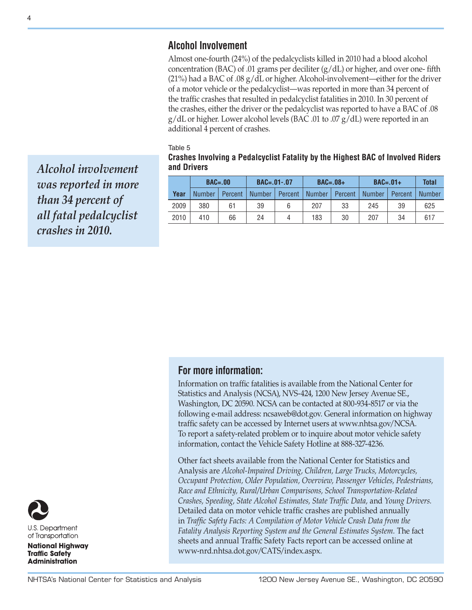## **Alcohol Involvement**

Almost one-fourth (24%) of the pedalcyclists killed in 2010 had a blood alcohol concentration (BAC) of .01 grams per deciliter  $(g/dL)$  or higher, and over one- fifth (21%) had a BAC of .08 g/dL or higher. Alcohol-involvement—either for the driver of a motor vehicle or the pedalcyclist—was reported in more than 34 percent of the traffic crashes that resulted in pedalcyclist fatalities in 2010. In 30 percent of the crashes, either the driver or the pedalcyclist was reported to have a BAC of .08 g/dL or higher. Lower alcohol levels (BAC .01 to .07 g/dL) were reported in an additional 4 percent of crashes.

Table 5

|             | Crashes Involving a Pedalcyclist Fatality by the Highest BAC of Involved Riders |  |
|-------------|---------------------------------------------------------------------------------|--|
| and Drivers |                                                                                 |  |

|      | $BAC = .00$   |         | $BAC = .01-.07$ |         | $BAC=.08+$    |         | $BAC=.01+$    |         | <b>Total</b> |
|------|---------------|---------|-----------------|---------|---------------|---------|---------------|---------|--------------|
| Year | <b>Number</b> | Percent | <b>Number</b>   | Percent | <b>Number</b> | Percent | <b>Number</b> | Percent | Number       |
| 2009 | 380           | 61      | 39              | 6       | 207           | 33      | 245           | 39      | 625          |
| 2010 | 410           | 66      | 24              |         | 183           | 30      | 207           | 34      | 617          |

*Alcohol involvement was reported in more than 34 percent of all fatal pedalcyclist crashes in 2010.*

## **For more information:**

Information on traffic fatalities is available from the National Center for Statistics and Analysis (NCSA), NVS-424, 1200 New Jersey Avenue SE., Washington, DC 20590. NCSA can be contacted at 800-934-8517 or via the following e-mail address: [ncsaweb@dot.gov](mailto:ncsaweb%40dot.gov?subject=RE%3A%202010%20Data%20-%20Bicyclists%20and%20Other%20Cyclists). General information on highway traffic safety can be accessed by Internet users at [www.nhtsa.gov/NCSA](http://www.nhtsa.gov/NCSA). To report a safety-related problem or to inquire about motor vehicle safety information, contact the Vehicle Safety Hotline at 888-327-4236.

Other fact sheets available from the National Center for Statistics and Analysis are *Alcohol-Impaired Driving, Children, Large Trucks, Motorcycles, Occupant Protection, Older Population, Overview, Passenger Vehicles, Pedestrians, Race and Ethnicity, Rural/Urban Comparisons, School Transportation-Related Crashes, Speeding, State Alcohol Estimates, State Traffic Data,* and *Young Drivers.* Detailed data on motor vehicle traffic crashes are published annually in *Traffic Safety Facts: A Compilation of Motor Vehicle Crash Data from the Fatality Analysis Reporting System and the General Estimates System.* The fact sheets and annual Traffic Safety Facts report can be accessed online at <www-nrd.nhtsa.dot.gov/CATS/index.aspx>.



U.S. Department of Transportation

**National Highway Traffic Safety Administration**